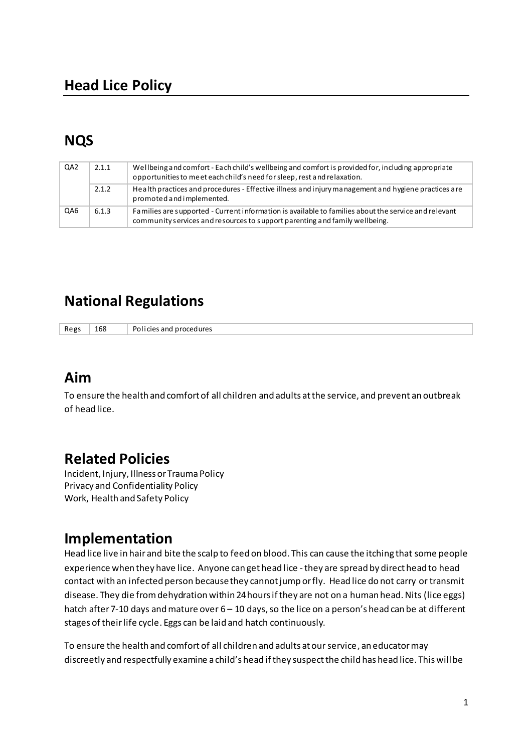# **NQS**

| QA <sub>2</sub> | 2.1.1 | Wellbeing and comfort - Each child's wellbeing and comfort is provided for, including appropriate<br>opportunities to meet each child's need for sleep, rest and relaxation.        |
|-----------------|-------|-------------------------------------------------------------------------------------------------------------------------------------------------------------------------------------|
|                 | 2.1.2 | Health practices and procedures - Effective illness and injury management and hygiene practices are<br>promoted and implemented.                                                    |
| QA6             | 6.1.3 | Families are supported - Current information is available to families about the service and relevant<br>community services and resources to support parenting and family wellbeing. |

# **National Regulations**

Regs 168 Policies and procedures

## **Aim**

To ensure the health and comfort of all children and adults at the service, and prevent an outbreak of head lice.

# **Related Policies**

Incident, Injury, Illness or Trauma Policy Privacy and Confidentiality Policy Work, Health and Safety Policy

## Implementation

Head lice live in hair and bite the scalp to feed on blood. This can cause the itching that some people experience when they have lice. Anyone can get head lice - they are spread by direct head to head contact with an infected person because they cannot jump or fly. Head lice do not carry or transmit disease. They die from dehydration within 24 hours if they are not on a human head. Nits (lice eggs) hatch after 7-10 days and mature over 6 - 10 days, so the lice on a person's head can be at different stages of their life cycle. Eggs can be laid and hatch continuously.

To ensure the health and comfort of all children and adults at our service, an educator may discreetly and respectfully examine a child's head if they suspect the child has head lice. This will be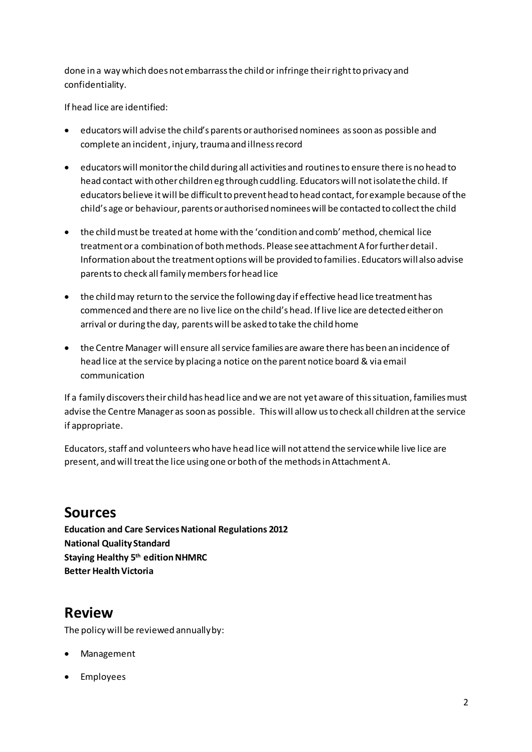done in a way which does not embarrass the child or infringe their right to privacy and confidentiality.

If head lice are identified:

- educators will advise the child's parents or authorised nominees as soon as possible and complete an incident , injury, trauma and illness record
- educators will monitor the child during all activities and routines to ensure there is no head to head contact with other children eg through cuddling. Educators will not isolate the child. If educators believe it will be difficult to prevent head to head contact, for example because of the child's age or behaviour, parents or authorised nominees will be contacted to collect the child
- the child must be treated at home with the 'condition and comb' method, chemical lice treatment or a combination of both methods. Please see attachment A for further detail . Information about the treatment options will be provided to families. Educators will also advise parents to check all family members for head lice
- the child may return to the service the following day if effective head lice treatment has commenced and there are no live lice on the child's head. If live lice are detected either on arrival or during the day, parents will be asked to take the child home
- the Centre Manager will ensure all service families are aware there has been an incidence of head lice at the service by placing a notice on the parent notice board & via email communication

If a family discovers their child has head lice and we are not yet aware of this situation, families must advise the Centre Manager as soon as possible. This will allow us to check all children at the service if appropriate.

Educators, staff and volunteers who have head lice will not attend the service while live lice are present, and will treat the lice using one or both of the methods in Attachment A.

## **Sources**

**Education and Care Services National Regulations 2012 National Quality Standard Staying Healthy 5th edition NHMRC Better Health Victoria** 

## **Review**

The policy will be reviewed annually by:

- Management
- Employees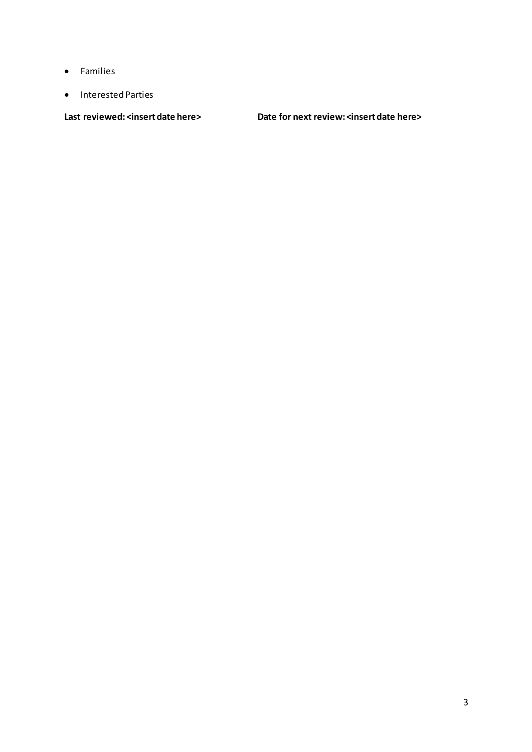- Families
- Interested Parties

Last reviewed: <insert date here> Date for next review: <insert date here>